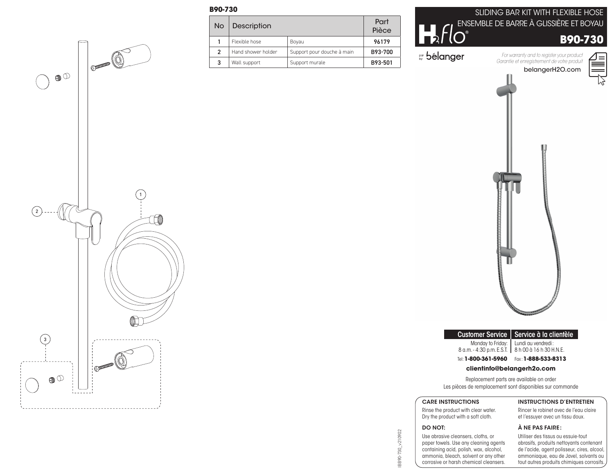## **B90-730**

| <b>No</b> | <b>Description</b> |                            | Part<br>Pièce |
|-----------|--------------------|----------------------------|---------------|
|           | Flexible hose      | Boyau                      | 96179         |
|           | Hand shower holder | Support pour douche à main | B93-700       |
| 3         | Wall support       | Support murale             | B93-501       |

| ENSEMBLE DE BARRE À GLISSIÈRE ET BOYAU                                                                      | SLIDING BAR KIT WITH FLEXIBLE HOSE |
|-------------------------------------------------------------------------------------------------------------|------------------------------------|
| <b>B90-730</b>                                                                                              |                                    |
| For warranty and to register your product<br>Garantie et enregistrement de votre produit<br>belangerH2O.com |                                    |
|                                                                                                             |                                    |



et l'essuyer avec un tissu doux.

Customer Service | Service à la clientèle

Tel: **1-800-361-5960** Fax : **1-888-533-8313**

**clientinfo@belangerh2o.com** Replacement parts are available on order Les pièces de remplacement sont disponibles sur commande

Monday to Friday: 8 a.m. - 4:30 p.m. E.S.T.

### À NE PAS FAIRE :

Lundi au vendredi : 8 h 00 à 16 h 30 H.N.E.

Utiliser des tissus ou essuie-tout abrasifs, produits nettoyants contenant de l'acide, agent polisseur, cires, alcool, ammoniaque, eau de Javel, solvants ou tout autres produits chimiques corrosifs.

# BB90-730\_v210902 IBB90-730\_v210902

DO NOT: Use abrasive cleansers, cloths, or paper towels. Use any cleaning agents

ammonia, bleach, solvent or any other corrosive or harsh chemical cleansers.

INSTRUCTIONS D'ENTRETIEN

Rincer le robinet avec de l'eau claire